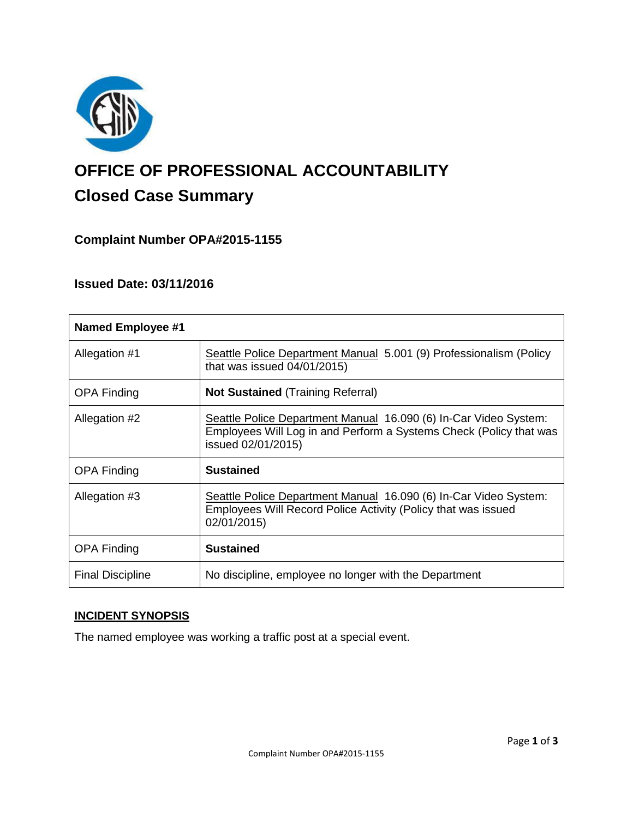

# **OFFICE OF PROFESSIONAL ACCOUNTABILITY Closed Case Summary**

# **Complaint Number OPA#2015-1155**

## **Issued Date: 03/11/2016**

| <b>Named Employee #1</b> |                                                                                                                                                              |
|--------------------------|--------------------------------------------------------------------------------------------------------------------------------------------------------------|
| Allegation #1            | Seattle Police Department Manual 5.001 (9) Professionalism (Policy<br>that was issued $04/01/2015$ )                                                         |
| OPA Finding              | <b>Not Sustained (Training Referral)</b>                                                                                                                     |
| Allegation #2            | Seattle Police Department Manual 16.090 (6) In-Car Video System:<br>Employees Will Log in and Perform a Systems Check (Policy that was<br>issued 02/01/2015) |
| <b>OPA Finding</b>       | <b>Sustained</b>                                                                                                                                             |
| Allegation #3            | Seattle Police Department Manual 16.090 (6) In-Car Video System:<br>Employees Will Record Police Activity (Policy that was issued<br>02/01/2015)             |
| <b>OPA Finding</b>       | <b>Sustained</b>                                                                                                                                             |
| <b>Final Discipline</b>  | No discipline, employee no longer with the Department                                                                                                        |

# **INCIDENT SYNOPSIS**

The named employee was working a traffic post at a special event.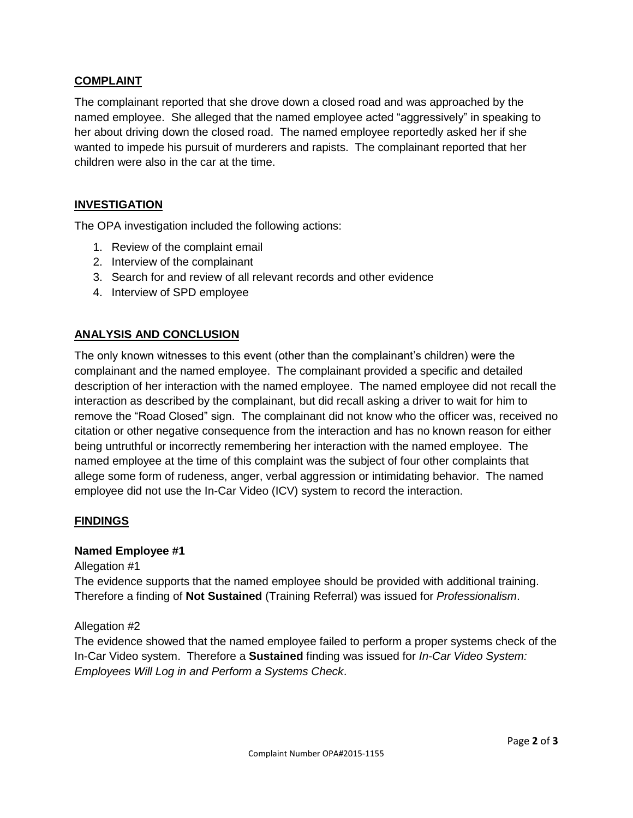## **COMPLAINT**

The complainant reported that she drove down a closed road and was approached by the named employee. She alleged that the named employee acted "aggressively" in speaking to her about driving down the closed road. The named employee reportedly asked her if she wanted to impede his pursuit of murderers and rapists. The complainant reported that her children were also in the car at the time.

### **INVESTIGATION**

The OPA investigation included the following actions:

- 1. Review of the complaint email
- 2. Interview of the complainant
- 3. Search for and review of all relevant records and other evidence
- 4. Interview of SPD employee

## **ANALYSIS AND CONCLUSION**

The only known witnesses to this event (other than the complainant's children) were the complainant and the named employee. The complainant provided a specific and detailed description of her interaction with the named employee. The named employee did not recall the interaction as described by the complainant, but did recall asking a driver to wait for him to remove the "Road Closed" sign. The complainant did not know who the officer was, received no citation or other negative consequence from the interaction and has no known reason for either being untruthful or incorrectly remembering her interaction with the named employee. The named employee at the time of this complaint was the subject of four other complaints that allege some form of rudeness, anger, verbal aggression or intimidating behavior. The named employee did not use the In-Car Video (ICV) system to record the interaction.

### **FINDINGS**

#### **Named Employee #1**

Allegation #1

The evidence supports that the named employee should be provided with additional training. Therefore a finding of **Not Sustained** (Training Referral) was issued for *Professionalism*.

#### Allegation #2

The evidence showed that the named employee failed to perform a proper systems check of the In-Car Video system. Therefore a **Sustained** finding was issued for *In-Car Video System: Employees Will Log in and Perform a Systems Check*.